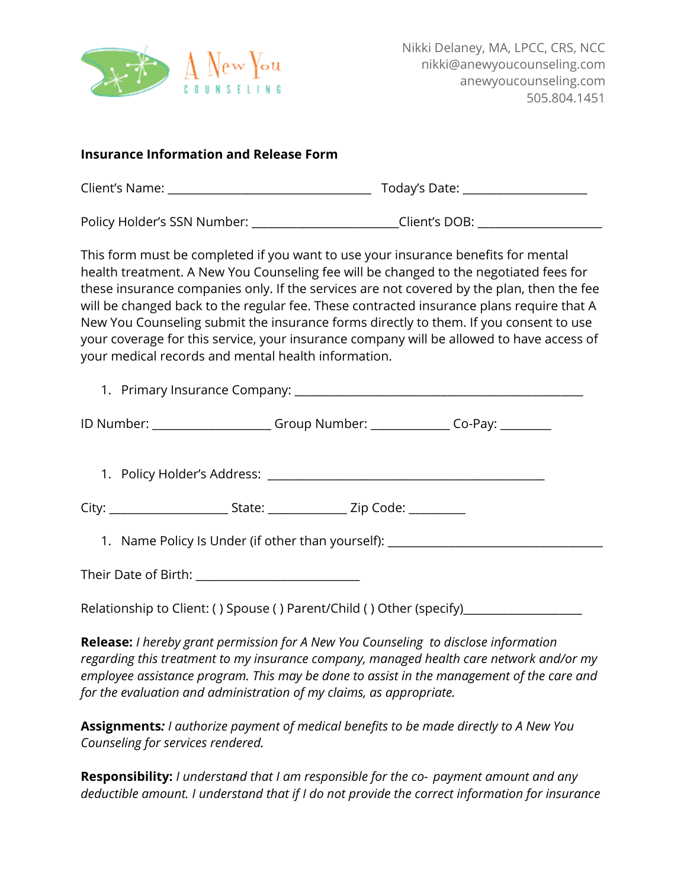

## **Insurance Information and Release Form** Client's Name: \_\_\_\_\_\_\_\_\_\_\_\_\_\_\_\_\_\_\_\_\_\_\_\_\_\_\_\_\_\_\_\_\_\_\_\_ Today's Date: \_\_\_\_\_\_\_\_\_\_\_\_\_\_\_\_\_\_\_\_\_\_ Policy Holder's SSN Number: \_\_\_\_\_\_\_\_\_\_\_\_\_\_\_\_\_\_\_\_\_\_\_\_Client's DOB: \_\_\_\_\_\_\_\_\_\_\_\_\_\_ This form must be completed if you want to use your insurance benefits for mental health treatment. A New You Counseling fee will be changed to the negotiated fees for these insurance companies only. If the services are not covered by the plan, then the fee will be changed back to the regular fee. These contracted insurance plans require that A New You Counseling submit the insurance forms directly to them. If you consent to use your coverage for this service, your insurance company will be allowed to have access of your medical records and mental health information. 1. Primary Insurance Company: \_\_\_\_\_\_\_\_\_\_\_\_\_\_\_\_\_\_\_\_\_\_\_\_\_\_\_\_\_\_\_\_\_\_\_\_\_\_\_\_\_\_\_\_\_\_\_\_\_\_\_ ID Number: \_\_\_\_\_\_\_\_\_\_\_\_\_\_\_\_\_\_\_\_\_\_\_\_Group Number: \_\_\_\_\_\_\_\_\_\_\_\_\_\_\_\_\_\_Co-Pay: \_\_\_\_\_\_\_ 1. Policy Holder's Address: \_\_\_\_\_\_\_\_\_\_\_\_\_\_\_\_\_\_\_\_\_\_\_\_\_\_\_\_\_\_\_\_\_\_\_\_\_\_\_\_\_\_\_\_\_\_\_\_\_ City: The City: the State: The Code:  $\overline{C}$  Zip Code:  $\overline{C}$ 1. Name Policy Is Under (if other than yourself): \_\_\_\_\_\_\_\_\_\_\_\_\_\_\_\_\_\_\_\_\_\_\_\_\_\_\_\_\_\_ Their Date of Birth: \_\_\_\_\_\_\_\_\_\_\_\_\_\_\_\_\_\_\_\_\_\_\_\_\_\_\_\_\_ Relationship to Client: ( ) Spouse ( ) Parent/Child ( ) Other (specify) \_\_\_\_\_\_\_\_\_

**Release:** *I hereby grant permission for A New You Counseling to disclose information regarding this treatment to my insurance company, managed health care network and/or my employee assistance program. This may be done to assist in the management of the care and for the evaluation and administration of my claims, as appropriate.*

 **Assignments***: I authorize payment of medical benefits to be made directly to A New You Counseling for services rendered.*

**Responsibility:** *I understand that I am responsible for the co- payment amount and any deductible amount. I understand that if I do not provide the correct information for insurance*